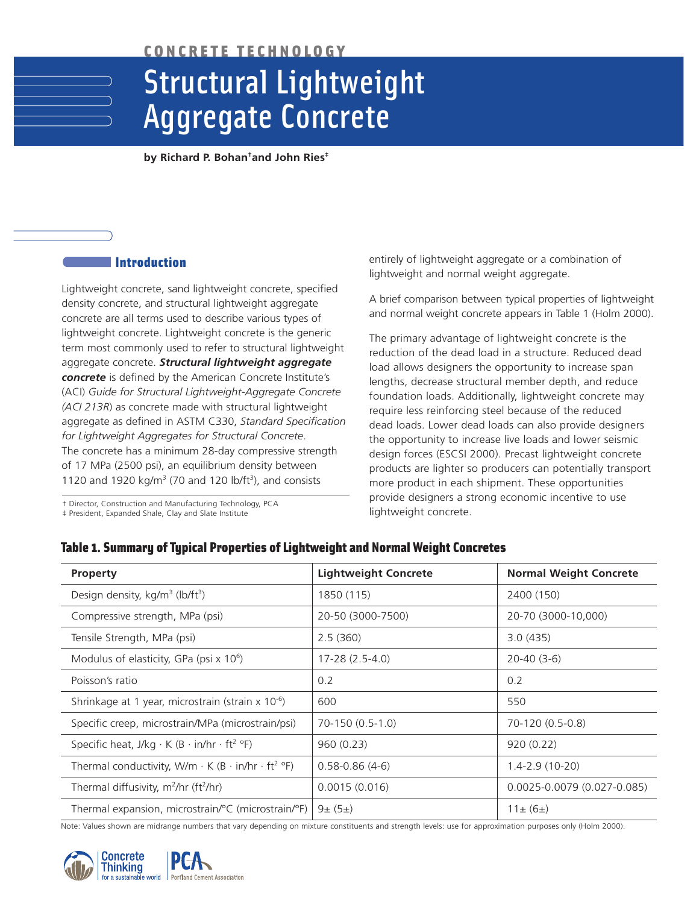CONCRETE TECHNOLOGY

# Structural Lightweight Aggregate Concrete

**by Richard P. Bohan† and John Ries‡**

# Introduction

Lightweight concrete, sand lightweight concrete, specified density concrete, and structural lightweight aggregate concrete are all terms used to describe various types of lightweight concrete. Lightweight concrete is the generic term most commonly used to refer to structural lightweight aggregate concrete. *Structural lightweight aggregate concrete* is defined by the American Concrete Institute's (ACI) *Guide for Structural Lightweight-Aggregate Concrete (ACI 213R*) as concrete made with structural lightweight aggregate as defined in ASTM C330, *Standard Specification for Lightweight Aggregates for Structural Concrete*. The concrete has a minimum 28-day compressive strength of 17 MPa (2500 psi), an equilibrium density between 1120 and 1920  $kg/m<sup>3</sup>$  (70 and 120 lb/ft<sup>3</sup>), and consists

† Director, Construction and Manufacturing Technology, PCA

‡ President, Expanded Shale, Clay and Slate Institute

entirely of lightweight aggregate or a combination of lightweight and normal weight aggregate.

A brief comparison between typical properties of lightweight and normal weight concrete appears in Table 1 (Holm 2000).

The primary advantage of lightweight concrete is the reduction of the dead load in a structure. Reduced dead load allows designers the opportunity to increase span lengths, decrease structural member depth, and reduce foundation loads. Additionally, lightweight concrete may require less reinforcing steel because of the reduced dead loads. Lower dead loads can also provide designers the opportunity to increase live loads and lower seismic design forces (ESCSI 2000). Precast lightweight concrete products are lighter so producers can potentially transport more product in each shipment. These opportunities provide designers a strong economic incentive to use lightweight concrete.

# Table 1. Summary of Typical Properties of Lightweight and Normal Weight Concretes

| <b>Property</b>                                                                  | <b>Lightweight Concrete</b> | <b>Normal Weight Concrete</b> |
|----------------------------------------------------------------------------------|-----------------------------|-------------------------------|
| Design density, kg/m <sup>3</sup> (lb/ft <sup>3</sup> )                          | 1850 (115)                  | 2400 (150)                    |
| Compressive strength, MPa (psi)                                                  | 20-50 (3000-7500)           | 20-70 (3000-10,000)           |
| Tensile Strength, MPa (psi)                                                      | 2.5(360)                    | 3.0(435)                      |
| Modulus of elasticity, GPa (psi x 10 <sup>6</sup> )                              | $17-28(2.5-4.0)$            | $20-40(3-6)$                  |
| Poisson's ratio                                                                  | 0.2                         | 0.2                           |
| Shrinkage at 1 year, microstrain (strain x 10 <sup>-6</sup> )                    | 600                         | 550                           |
| Specific creep, microstrain/MPa (microstrain/psi)                                | 70-150 (0.5-1.0)            | 70-120 (0.5-0.8)              |
| Specific heat, J/kg $\cdot$ K (B $\cdot$ in/hr $\cdot$ ft <sup>2</sup> °F)       | 960(0.23)                   | 920(0.22)                     |
| Thermal conductivity, W/m $\cdot$ K (B $\cdot$ in/hr $\cdot$ ft <sup>2</sup> °F) | $0.58 - 0.86(4 - 6)$        | $1.4 - 2.9(10 - 20)$          |
| Thermal diffusivity, m <sup>2</sup> /hr (ft <sup>2</sup> /hr)                    | 0.0015(0.016)               | 0.0025-0.0079 (0.027-0.085)   |
| Thermal expansion, microstrain/°C (microstrain/°F)                               | $9 \pm (5 \pm)$             | $11 \pm (6 \pm )$             |

Note: Values shown are midrange numbers that vary depending on mixture constituents and strength levels: use for approximation purposes only (Holm 2000).

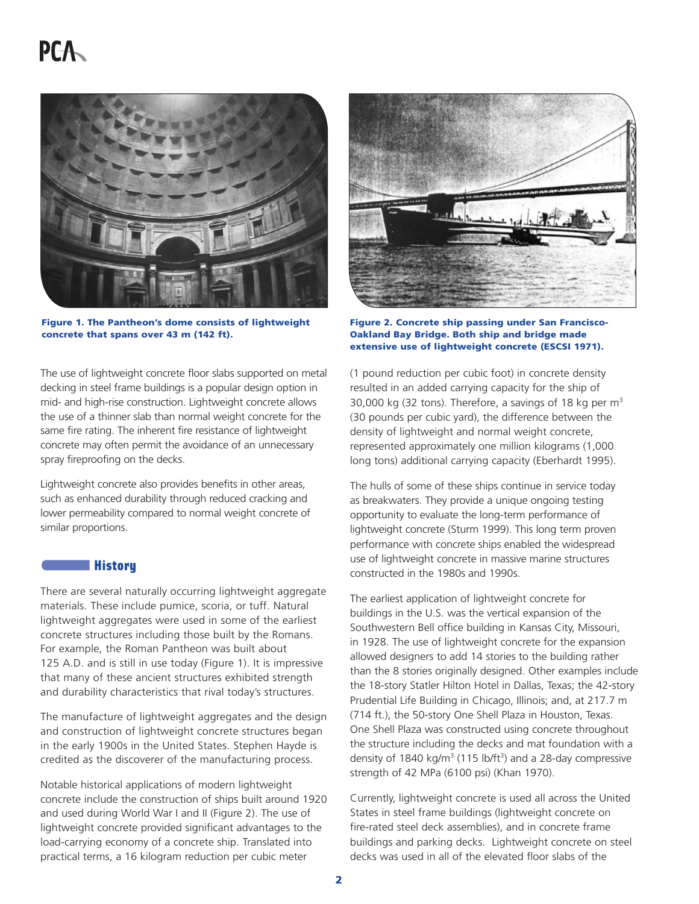# **PCA**



Figure 1. The Pantheon's dome consists of lightweight concrete that spans over 43 m (142 ft).

The use of lightweight concrete floor slabs supported on metal decking in steel frame buildings is a popular design option in mid- and high-rise construction. Lightweight concrete allows the use of a thinner slab than normal weight concrete for the same fire rating. The inherent fire resistance of lightweight concrete may often permit the avoidance of an unnecessary spray fireproofing on the decks.

Lightweight concrete also provides benefits in other areas, such as enhanced durability through reduced cracking and lower permeability compared to normal weight concrete of similar proportions.

# **Communist History**

There are several naturally occurring lightweight aggregate materials. These include pumice, scoria, or tuff. Natural lightweight aggregates were used in some of the earliest concrete structures including those built by the Romans. For example, the Roman Pantheon was built about 125 A.D. and is still in use today (Figure 1). It is impressive that many of these ancient structures exhibited strength and durability characteristics that rival today's structures.

The manufacture of lightweight aggregates and the design and construction of lightweight concrete structures began in the early 1900s in the United States. Stephen Hayde is credited as the discoverer of the manufacturing process.

Notable historical applications of modern lightweight concrete include the construction of ships built around 1920 and used during World War I and II (Figure 2). The use of lightweight concrete provided significant advantages to the load-carrying economy of a concrete ship. Translated into practical terms, a 16 kilogram reduction per cubic meter



Figure 2. Concrete ship passing under San Francisco-Oakland Bay Bridge. Both ship and bridge made extensive use of lightweight concrete (ESCSI 1971).

(1 pound reduction per cubic foot) in concrete density resulted in an added carrying capacity for the ship of 30,000 kg (32 tons). Therefore, a savings of 18 kg per  $m<sup>3</sup>$ (30 pounds per cubic yard), the difference between the density of lightweight and normal weight concrete, represented approximately one million kilograms (1,000 long tons) additional carrying capacity (Eberhardt 1995).

The hulls of some of these ships continue in service today as breakwaters. They provide a unique ongoing testing opportunity to evaluate the long-term performance of lightweight concrete (Sturm 1999). This long term proven performance with concrete ships enabled the widespread use of lightweight concrete in massive marine structures constructed in the 1980s and 1990s.

The earliest application of lightweight concrete for buildings in the U.S. was the vertical expansion of the Southwestern Bell office building in Kansas City, Missouri, in 1928. The use of lightweight concrete for the expansion allowed designers to add 14 stories to the building rather than the 8 stories originally designed. Other examples include the 18-story Statler Hilton Hotel in Dallas, Texas; the 42-story Prudential Life Building in Chicago, Illinois; and, at 217.7 m (714 ft.), the 50-story One Shell Plaza in Houston, Texas. One Shell Plaza was constructed using concrete throughout the structure including the decks and mat foundation with a density of 1840 kg/m<sup>3</sup> (115 lb/ft<sup>3</sup>) and a 28-day compressive strength of 42 MPa (6100 psi) (Khan 1970).

Currently, lightweight concrete is used all across the United States in steel frame buildings (lightweight concrete on fire-rated steel deck assemblies), and in concrete frame buildings and parking decks. Lightweight concrete on steel decks was used in all of the elevated floor slabs of the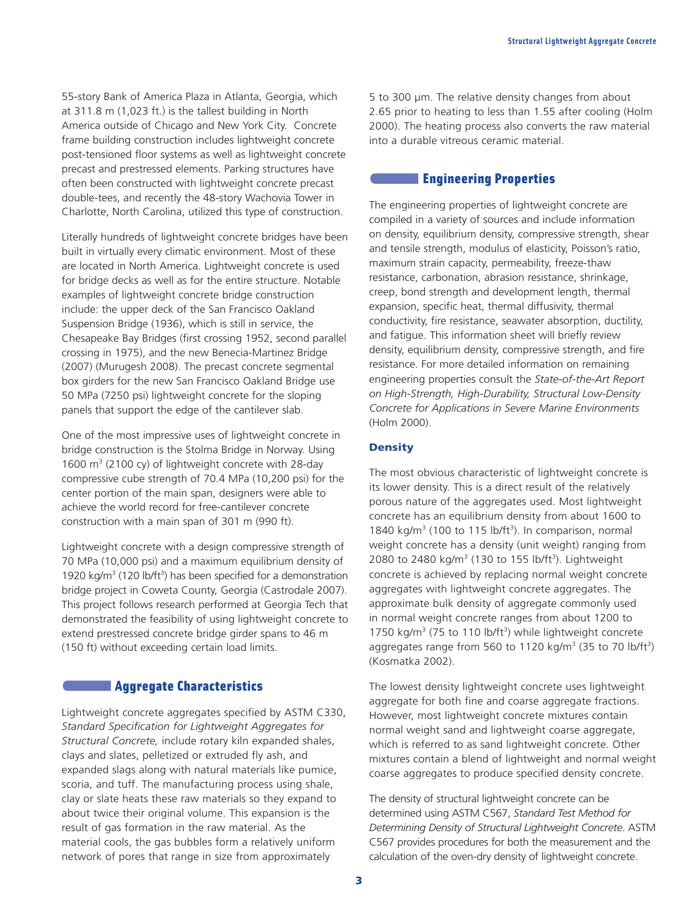55-story Bank of America Plaza in Atlanta, Georgia, which at 311.8 m (1,023 ft.) is the tallest building in North America outside of Chicago and New York City. Concrete frame building construction includes lightweight concrete post-tensioned floor systems as well as lightweight concrete precast and prestressed elements. Parking structures have often been constructed with lightweight concrete precast double-tees, and recently the 48-story Wachovia Tower in Charlotte, North Carolina, utilized this type of construction.

Literally hundreds of lightweight concrete bridges have been built in virtually every climatic environment. Most of these are located in North America. Lightweight concrete is used for bridge decks as well as for the entire structure. Notable examples of lightweight concrete bridge construction include: the upper deck of the San Francisco Oakland Suspension Bridge (1936), which is still in service, the Chesapeake Bay Bridges (first crossing 1952, second parallel crossing in 1975), and the new Benecia-Martinez Bridge (2007) (Murugesh 2008). The precast concrete segmental box girders for the new San Francisco Oakland Bridge use 50 MPa (7250 psi) lightweight concrete for the sloping panels that support the edge of the cantilever slab.

One of the most impressive uses of lightweight concrete in bridge construction is the Stolma Bridge in Norway. Using 1600  $\text{m}^3$  (2100 cy) of lightweight concrete with 28-day compressive cube strength of 70.4 MPa (10,200 psi) for the center portion of the main span, designers were able to achieve the world record for free-cantilever concrete construction with a main span of 301 m (990 ft).

Lightweight concrete with a design compressive strength of 70 MPa (10,000 psi) and a maximum equilibrium density of 1920 kg/m<sup>3</sup> (120 lb/ft<sup>3</sup>) has been specified for a demonstration bridge project in Coweta County, Georgia (Castrodale 2007). This project follows research performed at Georgia Tech that demonstrated the feasibility of using lightweight concrete to extend prestressed concrete bridge girder spans to 46 m (150 ft) without exceeding certain load limits.

# **Aggregate Characteristics**

Lightweight concrete aggregates specified by ASTM C330, *Standard Specification for Lightweight Aggregates for Structural Concrete,* include rotary kiln expanded shales, clays and slates, pelletized or extruded fly ash, and expanded slags along with natural materials like pumice, scoria, and tuff. The manufacturing process using shale, clay or slate heats these raw materials so they expand to about twice their original volume. This expansion is the result of gas formation in the raw material. As the material cools, the gas bubbles form a relatively uniform network of pores that range in size from approximately

5 to 300 µm. The relative density changes from about 2.65 prior to heating to less than 1.55 after cooling (Holm 2000). The heating process also converts the raw material into a durable vitreous ceramic material.

# **Engineering Properties**

The engineering properties of lightweight concrete are compiled in a variety of sources and include information on density, equilibrium density, compressive strength, shear and tensile strength, modulus of elasticity, Poisson's ratio, maximum strain capacity, permeability, freeze-thaw resistance, carbonation, abrasion resistance, shrinkage, creep, bond strength and development length, thermal expansion, specific heat, thermal diffusivity, thermal conductivity, fire resistance, seawater absorption, ductility, and fatigue. This information sheet will briefly review density, equilibrium density, compressive strength, and fire resistance. For more detailed information on remaining engineering properties consult the *State-of-the-Art Report on High-Strength, High-Durability, Structural Low-Density Concrete for Applications in Severe Marine Environments* (Holm 2000).

# **Density**

The most obvious characteristic of lightweight concrete is its lower density. This is a direct result of the relatively porous nature of the aggregates used. Most lightweight concrete has an equilibrium density from about 1600 to 1840 kg/m<sup>3</sup> (100 to 115 lb/ft<sup>3</sup>). In comparison, normal weight concrete has a density (unit weight) ranging from 2080 to 2480 kg/m<sup>3</sup> (130 to 155 lb/ft<sup>3</sup>). Lightweight concrete is achieved by replacing normal weight concrete aggregates with lightweight concrete aggregates. The approximate bulk density of aggregate commonly used in normal weight concrete ranges from about 1200 to 1750 kg/m<sup>3</sup> (75 to 110 lb/ft<sup>3</sup>) while lightweight concrete aggregates range from 560 to 1120 kg/m<sup>3</sup> (35 to 70 lb/ft<sup>3</sup>) (Kosmatka 2002).

The lowest density lightweight concrete uses lightweight aggregate for both fine and coarse aggregate fractions. However, most lightweight concrete mixtures contain normal weight sand and lightweight coarse aggregate, which is referred to as sand lightweight concrete. Other mixtures contain a blend of lightweight and normal weight coarse aggregates to produce specified density concrete.

The density of structural lightweight concrete can be determined using ASTM C567, *Standard Test Method for Determining Density of Structural Lightweight Concrete*. ASTM C567 provides procedures for both the measurement and the calculation of the oven-dry density of lightweight concrete.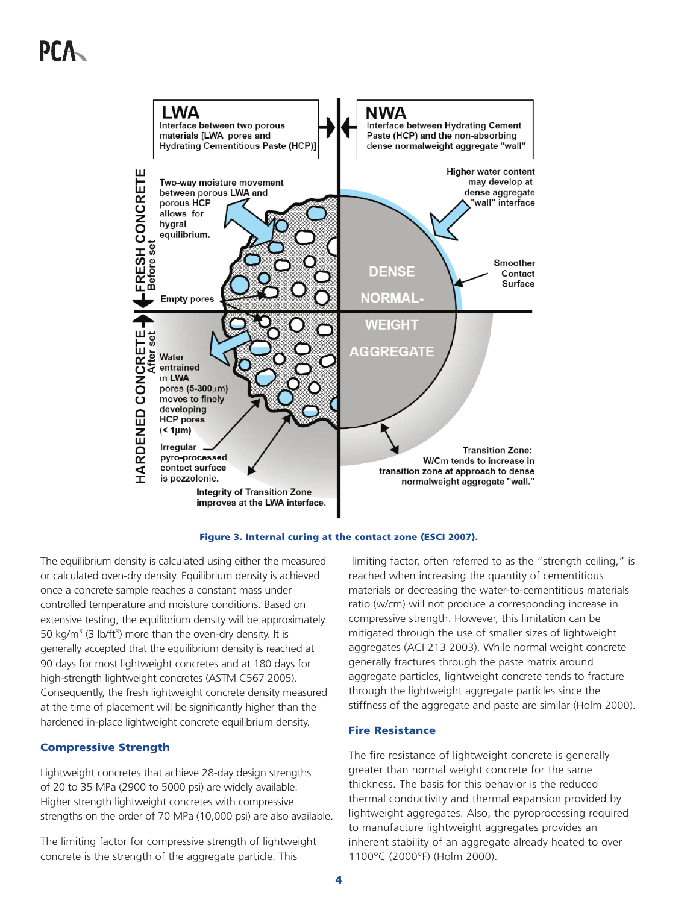# PF-A





The equilibrium density is calculated using either the measured or calculated oven-dry density. Equilibrium density is achieved once a concrete sample reaches a constant mass under controlled temperature and moisture conditions. Based on extensive testing, the equilibrium density will be approximately 50 kg/m<sup>3</sup> (3 lb/ft<sup>3</sup>) more than the oven-dry density. It is generally accepted that the equilibrium density is reached at 90 days for most lightweight concretes and at 180 days for high-strength lightweight concretes (ASTM C567 2005). Consequently, the fresh lightweight concrete density measured at the time of placement will be significantly higher than the hardened in-place lightweight concrete equilibrium density.

#### Compressive Strength

Lightweight concretes that achieve 28-day design strengths of 20 to 35 MPa (2900 to 5000 psi) are widely available. Higher strength lightweight concretes with compressive strengths on the order of 70 MPa (10,000 psi) are also available.

The limiting factor for compressive strength of lightweight concrete is the strength of the aggregate particle. This

limiting factor, often referred to as the "strength ceiling," is reached when increasing the quantity of cementitious materials or decreasing the water-to-cementitious materials ratio (w/cm) will not produce a corresponding increase in compressive strength. However, this limitation can be mitigated through the use of smaller sizes of lightweight aggregates (ACI 213 2003). While normal weight concrete generally fractures through the paste matrix around aggregate particles, lightweight concrete tends to fracture through the lightweight aggregate particles since the stiffness of the aggregate and paste are similar (Holm 2000).

#### Fire Resistance

The fire resistance of lightweight concrete is generally greater than normal weight concrete for the same thickness. The basis for this behavior is the reduced thermal conductivity and thermal expansion provided by lightweight aggregates. Also, the pyroprocessing required to manufacture lightweight aggregates provides an inherent stability of an aggregate already heated to over 1100°C (2000°F) (Holm 2000).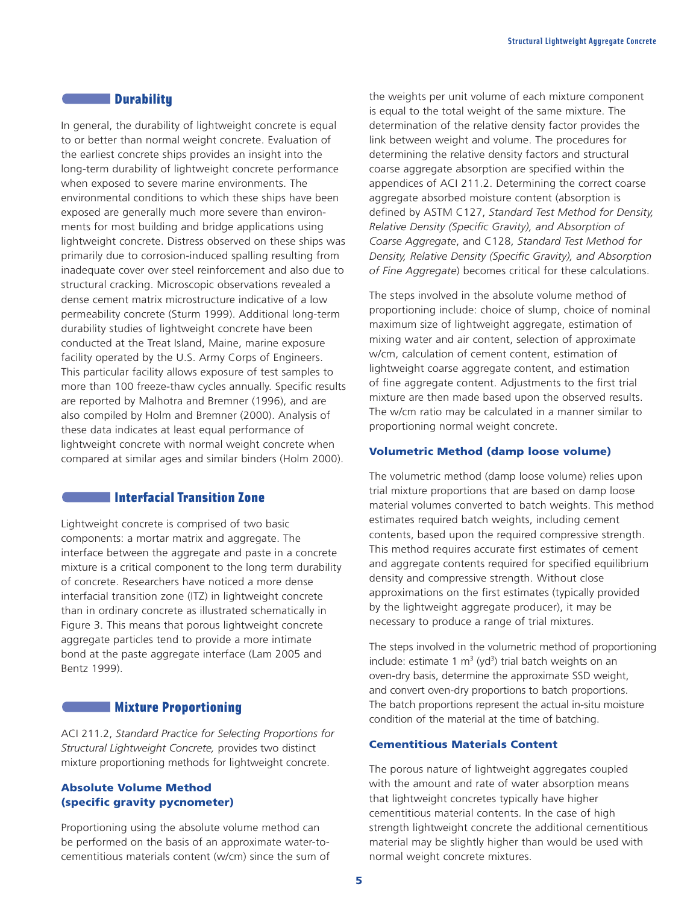# **Communism Durability**

In general, the durability of lightweight concrete is equal to or better than normal weight concrete. Evaluation of the earliest concrete ships provides an insight into the long-term durability of lightweight concrete performance when exposed to severe marine environments. The environmental conditions to which these ships have been exposed are generally much more severe than environments for most building and bridge applications using lightweight concrete. Distress observed on these ships was primarily due to corrosion-induced spalling resulting from inadequate cover over steel reinforcement and also due to structural cracking. Microscopic observations revealed a dense cement matrix microstructure indicative of a low permeability concrete (Sturm 1999). Additional long-term durability studies of lightweight concrete have been conducted at the Treat Island, Maine, marine exposure facility operated by the U.S. Army Corps of Engineers. This particular facility allows exposure of test samples to more than 100 freeze-thaw cycles annually. Specific results are reported by Malhotra and Bremner (1996), and are also compiled by Holm and Bremner (2000). Analysis of these data indicates at least equal performance of lightweight concrete with normal weight concrete when compared at similar ages and similar binders (Holm 2000).

# Interfacial Transition Zone

Lightweight concrete is comprised of two basic components: a mortar matrix and aggregate. The interface between the aggregate and paste in a concrete mixture is a critical component to the long term durability of concrete. Researchers have noticed a more dense interfacial transition zone (ITZ) in lightweight concrete than in ordinary concrete as illustrated schematically in Figure 3. This means that porous lightweight concrete aggregate particles tend to provide a more intimate bond at the paste aggregate interface (Lam 2005 and Bentz 1999).

#### **COMMUNIST MIXTURE Proportioning**

ACI 211.2, *Standard Practice for Selecting Proportions for Structural Lightweight Concrete,* provides two distinct mixture proportioning methods for lightweight concrete.

### Absolute Volume Method (specific gravity pycnometer)

Proportioning using the absolute volume method can be performed on the basis of an approximate water-tocementitious materials content (w/cm) since the sum of

the weights per unit volume of each mixture component is equal to the total weight of the same mixture. The determination of the relative density factor provides the link between weight and volume. The procedures for determining the relative density factors and structural coarse aggregate absorption are specified within the appendices of ACI 211.2. Determining the correct coarse aggregate absorbed moisture content (absorption is defined by ASTM C127, *Standard Test Method for Density, Relative Density (Specific Gravity), and Absorption of Coarse Aggregate*, and C128, *Standard Test Method for Density, Relative Density (Specific Gravity), and Absorption of Fine Aggregate*) becomes critical for these calculations.

The steps involved in the absolute volume method of proportioning include: choice of slump, choice of nominal maximum size of lightweight aggregate, estimation of mixing water and air content, selection of approximate w/cm, calculation of cement content, estimation of lightweight coarse aggregate content, and estimation of fine aggregate content. Adjustments to the first trial mixture are then made based upon the observed results. The w/cm ratio may be calculated in a manner similar to proportioning normal weight concrete.

#### Volumetric Method (damp loose volume)

The volumetric method (damp loose volume) relies upon trial mixture proportions that are based on damp loose material volumes converted to batch weights. This method estimates required batch weights, including cement contents, based upon the required compressive strength. This method requires accurate first estimates of cement and aggregate contents required for specified equilibrium density and compressive strength. Without close approximations on the first estimates (typically provided by the lightweight aggregate producer), it may be necessary to produce a range of trial mixtures.

The steps involved in the volumetric method of proportioning include: estimate 1  $m^3$  (yd<sup>3</sup>) trial batch weights on an oven-dry basis, determine the approximate SSD weight, and convert oven-dry proportions to batch proportions. The batch proportions represent the actual in-situ moisture condition of the material at the time of batching.

#### Cementitious Materials Content

The porous nature of lightweight aggregates coupled with the amount and rate of water absorption means that lightweight concretes typically have higher cementitious material contents. In the case of high strength lightweight concrete the additional cementitious material may be slightly higher than would be used with normal weight concrete mixtures.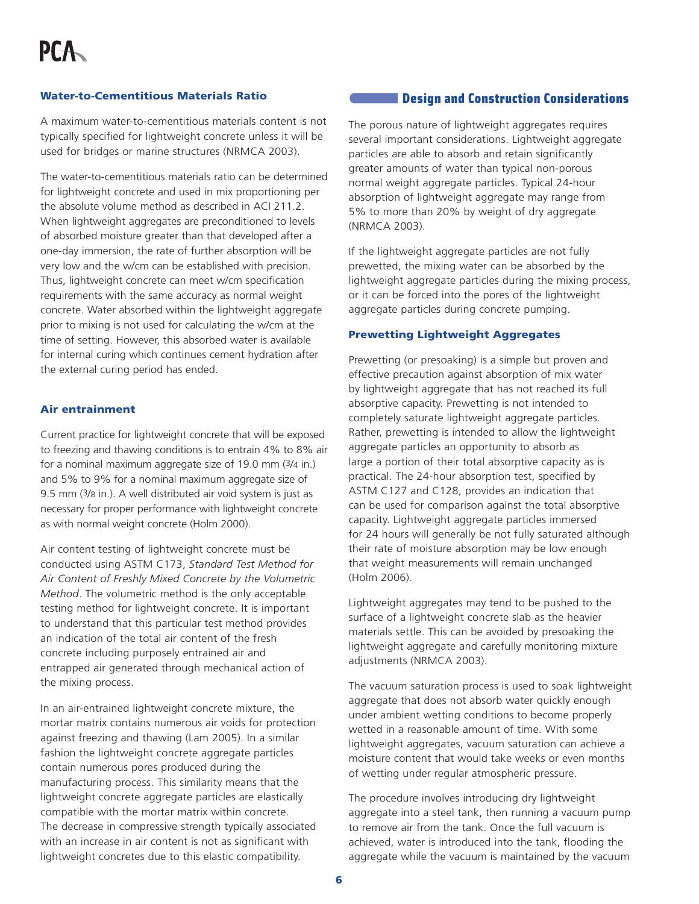#### Water-to-Cementitious Materials Ratio

A maximum water-to-cementitious materials content is not typically specified for lightweight concrete unless it will be used for bridges or marine structures (NRMCA 2003).

The water-to-cementitious materials ratio can be determined for lightweight concrete and used in mix proportioning per the absolute volume method as described in ACI 211.2. When lightweight aggregates are preconditioned to levels of absorbed moisture greater than that developed after a one-day immersion, the rate of further absorption will be very low and the w/cm can be established with precision. Thus, lightweight concrete can meet w/cm specification requirements with the same accuracy as normal weight concrete. Water absorbed within the lightweight aggregate prior to mixing is not used for calculating the w/cm at the time of setting. However, this absorbed water is available for internal curing which continues cement hydration after the external curing period has ended.

#### Air entrainment

Current practice for lightweight concrete that will be exposed to freezing and thawing conditions is to entrain 4% to 8% air for a nominal maximum aggregate size of 19.0 mm (3/4 in.) and 5% to 9% for a nominal maximum aggregate size of 9.5 mm (3/8 in.). A well distributed air void system is just as necessary for proper performance with lightweight concrete as with normal weight concrete (Holm 2000).

Air content testing of lightweight concrete must be conducted using ASTM C173, *Standard Test Method for Air Content of Freshly Mixed Concrete by the Volumetric Method*. The volumetric method is the only acceptable testing method for lightweight concrete. It is important to understand that this particular test method provides an indication of the total air content of the fresh concrete including purposely entrained air and entrapped air generated through mechanical action of the mixing process.

In an air-entrained lightweight concrete mixture, the mortar matrix contains numerous air voids for protection against freezing and thawing (Lam 2005). In a similar fashion the lightweight concrete aggregate particles contain numerous pores produced during the manufacturing process. This similarity means that the lightweight concrete aggregate particles are elastically compatible with the mortar matrix within concrete. The decrease in compressive strength typically associated with an increase in air content is not as significant with lightweight concretes due to this elastic compatibility.

# **Construction Construction Considerations**

The porous nature of lightweight aggregates requires several important considerations. Lightweight aggregate particles are able to absorb and retain significantly greater amounts of water than typical non-porous normal weight aggregate particles. Typical 24-hour absorption of lightweight aggregate may range from 5% to more than 20% by weight of dry aggregate (NRMCA 2003).

If the lightweight aggregate particles are not fully prewetted, the mixing water can be absorbed by the lightweight aggregate particles during the mixing process, or it can be forced into the pores of the lightweight aggregate particles during concrete pumping.

### Prewetting Lightweight Aggregates

Prewetting (or presoaking) is a simple but proven and effective precaution against absorption of mix water by lightweight aggregate that has not reached its full absorptive capacity. Prewetting is not intended to completely saturate lightweight aggregate particles. Rather, prewetting is intended to allow the lightweight aggregate particles an opportunity to absorb as large a portion of their total absorptive capacity as is practical. The 24-hour absorption test, specified by ASTM C127 and C128, provides an indication that can be used for comparison against the total absorptive capacity. Lightweight aggregate particles immersed for 24 hours will generally be not fully saturated although their rate of moisture absorption may be low enough that weight measurements will remain unchanged (Holm 2006).

Lightweight aggregates may tend to be pushed to the surface of a lightweight concrete slab as the heavier materials settle. This can be avoided by presoaking the lightweight aggregate and carefully monitoring mixture adjustments (NRMCA 2003).

The vacuum saturation process is used to soak lightweight aggregate that does not absorb water quickly enough under ambient wetting conditions to become properly wetted in a reasonable amount of time. With some lightweight aggregates, vacuum saturation can achieve a moisture content that would take weeks or even months of wetting under regular atmospheric pressure.

The procedure involves introducing dry lightweight aggregate into a steel tank, then running a vacuum pump to remove air from the tank. Once the full vacuum is achieved, water is introduced into the tank, flooding the aggregate while the vacuum is maintained by the vacuum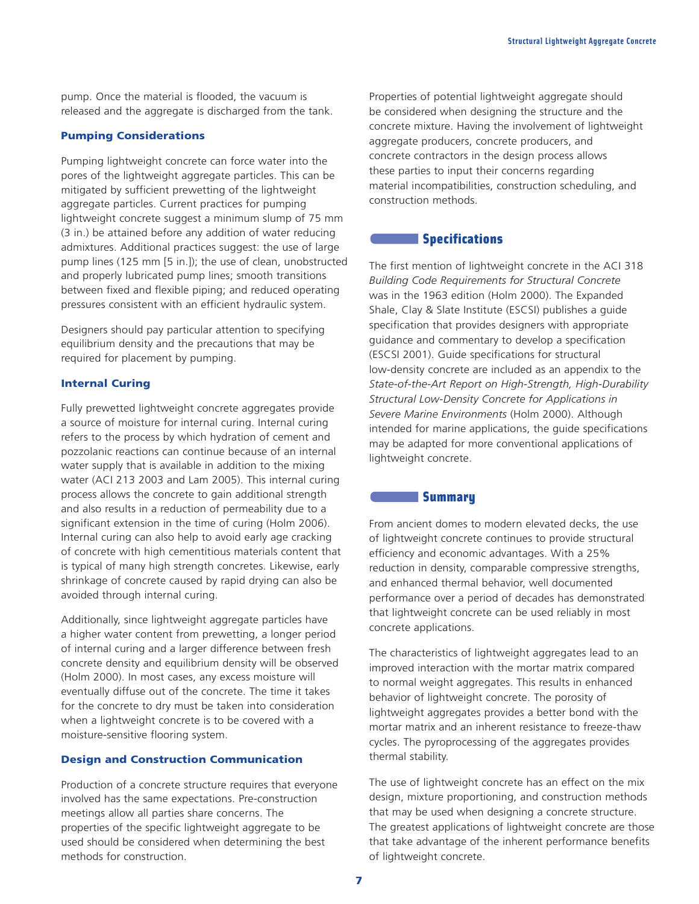pump. Once the material is flooded, the vacuum is released and the aggregate is discharged from the tank.

#### Pumping Considerations

Pumping lightweight concrete can force water into the pores of the lightweight aggregate particles. This can be mitigated by sufficient prewetting of the lightweight aggregate particles. Current practices for pumping lightweight concrete suggest a minimum slump of 75 mm (3 in.) be attained before any addition of water reducing admixtures. Additional practices suggest: the use of large pump lines (125 mm [5 in.]); the use of clean, unobstructed and properly lubricated pump lines; smooth transitions between fixed and flexible piping; and reduced operating pressures consistent with an efficient hydraulic system.

Designers should pay particular attention to specifying equilibrium density and the precautions that may be required for placement by pumping.

#### Internal Curing

Fully prewetted lightweight concrete aggregates provide a source of moisture for internal curing. Internal curing refers to the process by which hydration of cement and pozzolanic reactions can continue because of an internal water supply that is available in addition to the mixing water (ACI 213 2003 and Lam 2005). This internal curing process allows the concrete to gain additional strength and also results in a reduction of permeability due to a significant extension in the time of curing (Holm 2006). Internal curing can also help to avoid early age cracking of concrete with high cementitious materials content that is typical of many high strength concretes. Likewise, early shrinkage of concrete caused by rapid drying can also be avoided through internal curing.

Additionally, since lightweight aggregate particles have a higher water content from prewetting, a longer period of internal curing and a larger difference between fresh concrete density and equilibrium density will be observed (Holm 2000). In most cases, any excess moisture will eventually diffuse out of the concrete. The time it takes for the concrete to dry must be taken into consideration when a lightweight concrete is to be covered with a moisture-sensitive flooring system.

# Design and Construction Communication

Production of a concrete structure requires that everyone involved has the same expectations. Pre-construction meetings allow all parties share concerns. The properties of the specific lightweight aggregate to be used should be considered when determining the best methods for construction.

Properties of potential lightweight aggregate should be considered when designing the structure and the concrete mixture. Having the involvement of lightweight aggregate producers, concrete producers, and concrete contractors in the design process allows these parties to input their concerns regarding material incompatibilities, construction scheduling, and construction methods.

### **Specifications**

The first mention of lightweight concrete in the ACI 318 *Building Code Requirements for Structural Concrete* was in the 1963 edition (Holm 2000). The Expanded Shale, Clay & Slate Institute (ESCSI) publishes a guide specification that provides designers with appropriate guidance and commentary to develop a specification (ESCSI 2001). Guide specifications for structural low-density concrete are included as an appendix to the *State-of-the-Art Report on High-Strength, High-Durability Structural Low-Density Concrete for Applications in Severe Marine Environments* (Holm 2000). Although intended for marine applications, the guide specifications may be adapted for more conventional applications of lightweight concrete.

## **Summary**

From ancient domes to modern elevated decks, the use of lightweight concrete continues to provide structural efficiency and economic advantages. With a 25% reduction in density, comparable compressive strengths, and enhanced thermal behavior, well documented performance over a period of decades has demonstrated that lightweight concrete can be used reliably in most concrete applications.

The characteristics of lightweight aggregates lead to an improved interaction with the mortar matrix compared to normal weight aggregates. This results in enhanced behavior of lightweight concrete. The porosity of lightweight aggregates provides a better bond with the mortar matrix and an inherent resistance to freeze-thaw cycles. The pyroprocessing of the aggregates provides thermal stability.

The use of lightweight concrete has an effect on the mix design, mixture proportioning, and construction methods that may be used when designing a concrete structure. The greatest applications of lightweight concrete are those that take advantage of the inherent performance benefits of lightweight concrete.